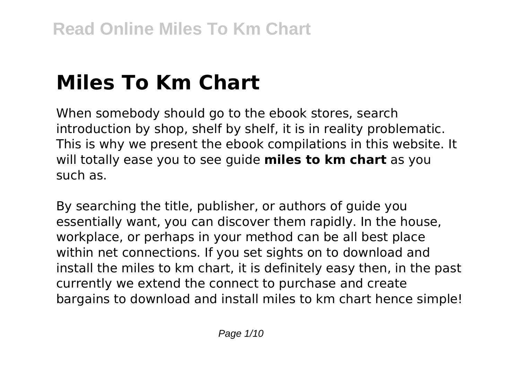# **Miles To Km Chart**

When somebody should go to the ebook stores, search introduction by shop, shelf by shelf, it is in reality problematic. This is why we present the ebook compilations in this website. It will totally ease you to see guide **miles to km chart** as you such as.

By searching the title, publisher, or authors of guide you essentially want, you can discover them rapidly. In the house, workplace, or perhaps in your method can be all best place within net connections. If you set sights on to download and install the miles to km chart, it is definitely easy then, in the past currently we extend the connect to purchase and create bargains to download and install miles to km chart hence simple!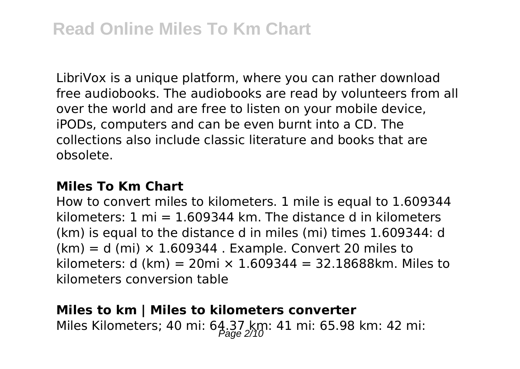LibriVox is a unique platform, where you can rather download free audiobooks. The audiobooks are read by volunteers from all over the world and are free to listen on your mobile device, iPODs, computers and can be even burnt into a CD. The collections also include classic literature and books that are obsolete.

#### **Miles To Km Chart**

How to convert miles to kilometers. 1 mile is equal to 1.609344 kilometers: 1 mi =  $1.609344$  km. The distance d in kilometers (km) is equal to the distance d in miles (mi) times 1.609344: d  $(km) = d$  (mi)  $\times$  1.609344. Example. Convert 20 miles to kilometers: d (km) = 20mi  $\times$  1.609344 = 32.18688km. Miles to kilometers conversion table

### **Miles to km | Miles to kilometers converter** Miles Kilometers; 40 mi: 64.37 km: 41 mi: 65.98 km: 42 mi: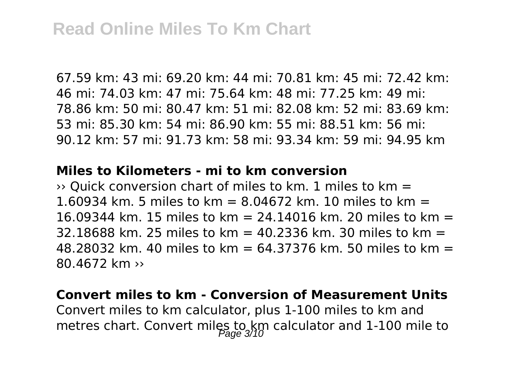67.59 km: 43 mi: 69.20 km: 44 mi: 70.81 km: 45 mi: 72.42 km: 46 mi: 74.03 km: 47 mi: 75.64 km: 48 mi: 77.25 km: 49 mi: 78.86 km: 50 mi: 80.47 km: 51 mi: 82.08 km: 52 mi: 83.69 km: 53 mi: 85.30 km: 54 mi: 86.90 km: 55 mi: 88.51 km: 56 mi: 90.12 km: 57 mi: 91.73 km: 58 mi: 93.34 km: 59 mi: 94.95 km

#### **Miles to Kilometers - mi to km conversion**

 $\rightarrow$  Ouick conversion chart of miles to km. 1 miles to km = 1.60934 km. 5 miles to km = 8.04672 km. 10 miles to km = 16.09344 km. 15 miles to km = 24.14016 km. 20 miles to km = 32.18688 km. 25 miles to km =  $40.2336$  km. 30 miles to km = 48.28032 km. 40 miles to km = 64.37376 km. 50 miles to km = 80.4672 km ››

#### **Convert miles to km - Conversion of Measurement Units**

Convert miles to km calculator, plus 1-100 miles to km and metres chart. Convert miles to km calculator and 1-100 mile to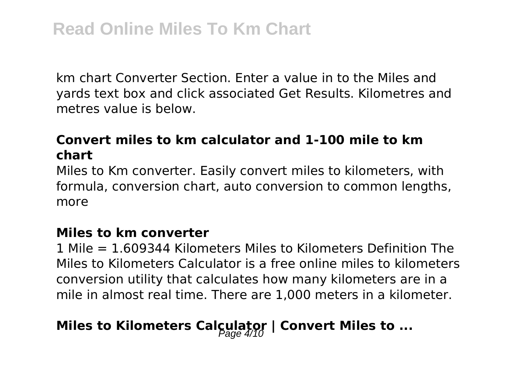km chart Converter Section. Enter a value in to the Miles and yards text box and click associated Get Results. Kilometres and metres value is below.

#### **Convert miles to km calculator and 1-100 mile to km chart**

Miles to Km converter. Easily convert miles to kilometers, with formula, conversion chart, auto conversion to common lengths, more

#### **Miles to km converter**

1 Mile = 1.609344 Kilometers Miles to Kilometers Definition The Miles to Kilometers Calculator is a free online miles to kilometers conversion utility that calculates how many kilometers are in a mile in almost real time. There are 1,000 meters in a kilometer.

## **Miles to Kilometers Calculator | Convert Miles to ...**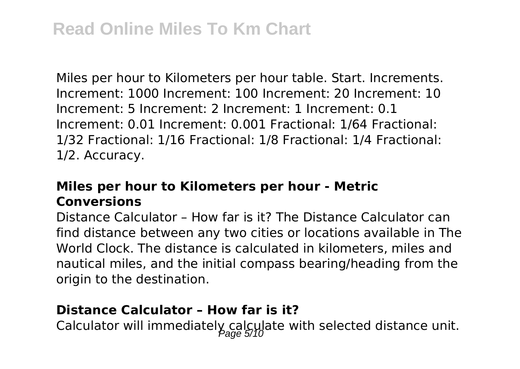Miles per hour to Kilometers per hour table. Start. Increments. Increment: 1000 Increment: 100 Increment: 20 Increment: 10 Increment: 5 Increment: 2 Increment: 1 Increment: 0.1 Increment: 0.01 Increment: 0.001 Fractional: 1/64 Fractional: 1/32 Fractional: 1/16 Fractional: 1/8 Fractional: 1/4 Fractional: 1/2. Accuracy.

#### **Miles per hour to Kilometers per hour - Metric Conversions**

Distance Calculator – How far is it? The Distance Calculator can find distance between any two cities or locations available in The World Clock. The distance is calculated in kilometers, miles and nautical miles, and the initial compass bearing/heading from the origin to the destination.

#### **Distance Calculator – How far is it?**

Calculator will immediately calculate with selected distance unit.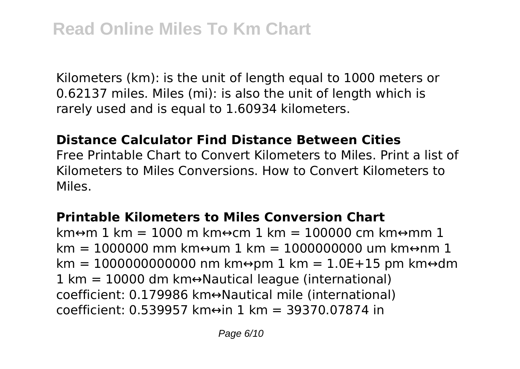Kilometers (km): is the unit of length equal to 1000 meters or 0.62137 miles. Miles (mi): is also the unit of length which is rarely used and is equal to 1.60934 kilometers.

#### **Distance Calculator Find Distance Between Cities**

Free Printable Chart to Convert Kilometers to Miles. Print a list of Kilometers to Miles Conversions. How to Convert Kilometers to Miles.

#### **Printable Kilometers to Miles Conversion Chart**

km $\leftrightarrow$ m $\leftrightarrow$ n = 1000 m km $\leftrightarrow$ cm 1 km = 100000 cm km $\leftrightarrow$ mm 1  $km = 1000000$  mm km $\leftrightarrow$ um 1 km = 1000000000 um km $\leftrightarrow$ nm 1  $km = 100000000000000$  nm km $\leftrightarrow$ pm 1 km = 1.0E+15 pm km $\leftrightarrow$ dm  $1 \text{ km} = 10000 \text{ dm}$  km↔Nautical league (international) coefficient: 0.179986 km↔Nautical mile (international) coefficient: 0.539957 km↔in 1 km = 39370.07874 in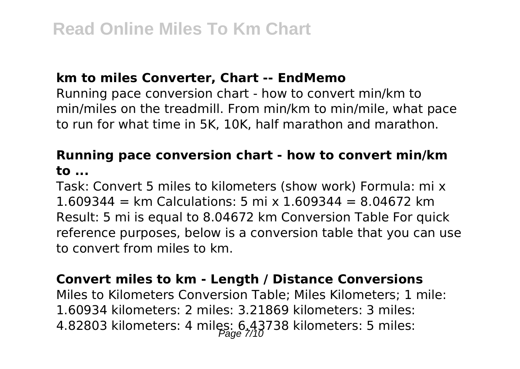#### **km to miles Converter, Chart -- EndMemo**

Running pace conversion chart - how to convert min/km to min/miles on the treadmill. From min/km to min/mile, what pace to run for what time in 5K, 10K, half marathon and marathon.

#### **Running pace conversion chart - how to convert min/km to ...**

Task: Convert 5 miles to kilometers (show work) Formula: mi x 1.609344 = km Calculations: 5 mi x  $1.609344 = 8.04672$  km Result: 5 mi is equal to 8.04672 km Conversion Table For quick reference purposes, below is a conversion table that you can use to convert from miles to km.

#### **Convert miles to km - Length / Distance Conversions**

Miles to Kilometers Conversion Table; Miles Kilometers; 1 mile: 1.60934 kilometers: 2 miles: 3.21869 kilometers: 3 miles: 4.82803 kilometers: 4 miles:  $6.43738$  kilometers: 5 miles: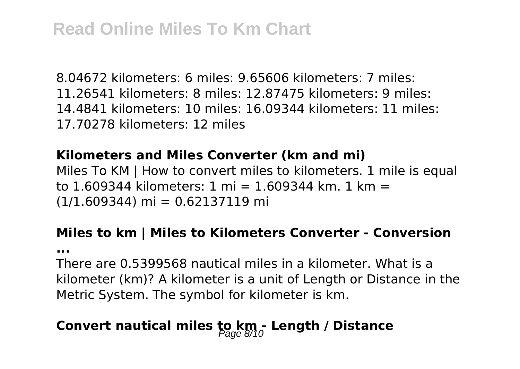8.04672 kilometers: 6 miles: 9.65606 kilometers: 7 miles: 11.26541 kilometers: 8 miles: 12.87475 kilometers: 9 miles: 14.4841 kilometers: 10 miles: 16.09344 kilometers: 11 miles: 17.70278 kilometers: 12 miles

#### **Kilometers and Miles Converter (km and mi)**

Miles To KM | How to convert miles to kilometers. 1 mile is equal to 1.609344 kilometers: 1 mi = 1.609344 km. 1 km =  $(1/1.609344)$  mi = 0.62137119 mi

## **Miles to km | Miles to Kilometers Converter - Conversion**

**...**

There are 0.5399568 nautical miles in a kilometer. What is a kilometer (km)? A kilometer is a unit of Length or Distance in the Metric System. The symbol for kilometer is km.

# Convert nautical miles to km<sub>2</sub> Length / Distance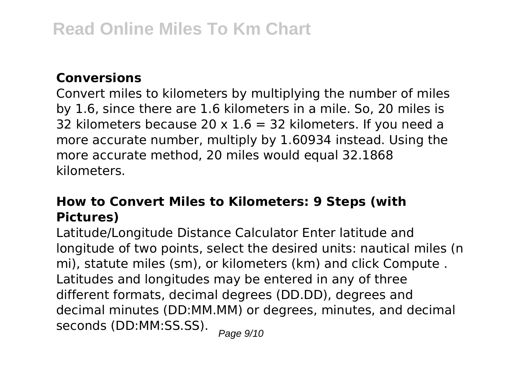#### **Conversions**

Convert miles to kilometers by multiplying the number of miles by 1.6, since there are 1.6 kilometers in a mile. So, 20 miles is 32 kilometers because 20  $\times$  1.6 = 32 kilometers. If you need a more accurate number, multiply by 1.60934 instead. Using the more accurate method, 20 miles would equal 32.1868 kilometers.

#### **How to Convert Miles to Kilometers: 9 Steps (with Pictures)**

Latitude/Longitude Distance Calculator Enter latitude and longitude of two points, select the desired units: nautical miles (n mi), statute miles (sm), or kilometers (km) and click Compute . Latitudes and longitudes may be entered in any of three different formats, decimal degrees (DD.DD), degrees and decimal minutes (DD:MM.MM) or degrees, minutes, and decimal seconds (DD:MM:SS.SS). Page 9/10